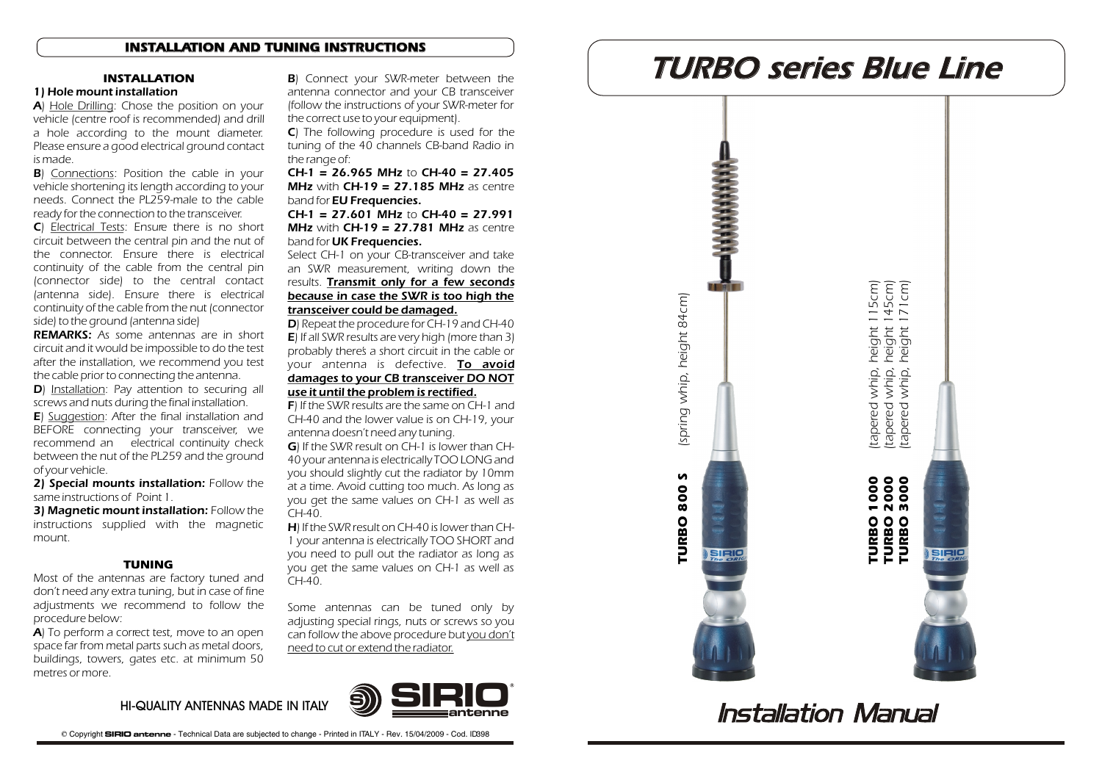## **INSTALLATION AND TUNING INSTRUCTIONS**

### **INSTALLATION**

# 1) Hole mount installation

A) Hole Drilling: Chose the position on your vehicle (centre roof is recommended) and drill a hole according to the mount diameter. Please ensure a good electrical ground contact is made.

**B**) Connections: Position the cable in your vehicle shortening its length according to your needs. Connect the PL259-male to the cable ready for the connection to the transceiver.

C) Electrical Tests: Ensure there is no short circuit between the central pin and the nut of the connector. Ensure there is electrical continuity of the cable from the central pin (connector side) to the central contact (antenna side). Ensure there is electrical continuity of the cable from the nut (connector side) to the ground (antenna side)

*REMARKS:* As some antennas are in short circuit and it would be impossible to do the test after the installation, we recommend you test the cable prior to connecting the antenna.

D) Installation: Pay attention to securing all screws and nuts during the final installation.

**E**) Suggestion: After the final installation and BEFORE connecting your transceiver, we recommend an electrical continuity check between the nut of the PL259 and the ground of your vehicle.

2) Special mounts installation: Follow the same instructions of Point 1.

3) Magnetic mount installation: Follow the instructions supplied with the magnetic mount.

#### **TUNING**

Most of the antennas are factory tuned and don't need any extra tuning, but in case of fine adjustments we recommend to follow the procedure below:

A) To perform a correct test, move to an open space far from metal parts such as metal doors, buildings, towers, gates etc. at minimum 50 metres or more.

antenna connector and your CB transceiver (follow the instructions of your SWR-meter for the correct use to your equipment).

C) The following procedure is used for the tuning of the 40 channels CB-band Radio in the range of:

 $CH-1 = 26.965$  MHz to  $CH-40 = 27.405$ MHz with  $CH-19 = 27.185$  MHz as centre band for **EU Frequencies.** 

 $CH-1 = 27.601$  MHz to CH-40 = 27.991 **MHz** with  $CH-19 = 27.781$  MHz as centre band for UK Frequencies.

Select CH-1 on your CB-transceiver and take an SWR measurement, writing down the results. *Transmit only for a few seconds because in case the SWR is too high the transceiver could be damaged.*

D) Repeat the procedure for CH-19 and CH-40 E) If all SWR results are very high (more than 3) probably there's a short circuit in the cable or your antenna is defective. *To avoid damages to your CB transceiver DO NOT use it until the problem is rectified.*

F) If the SWR results are the same on CH-1 and CH-40 and the lower value is on CH-19, your antenna doesn't need any tuning.

G) If the SWR result on CH-1 is lower than CH-40 your antenna is electrically TOO LONG and you should slightly cut the radiator by 10mm at a time. Avoid cutting too much. As long as you get the same values on CH-1 as well as CH-40.

H) If the SWR result on CH-40 is lower than CH-1 your antenna is electrically TOO SHORT and you need to pull out the radiator as long as you get the same values on CH-1 as well as  $CH-40$ 

Some antennas can be tuned only by adjusting special rings, nuts or screws so you can follow the above procedure but *you don't need to cut or extend the radiator.*



# B) Connect your SWR-meter between the **TURBO series Blue Line**



# **Installation Manual**